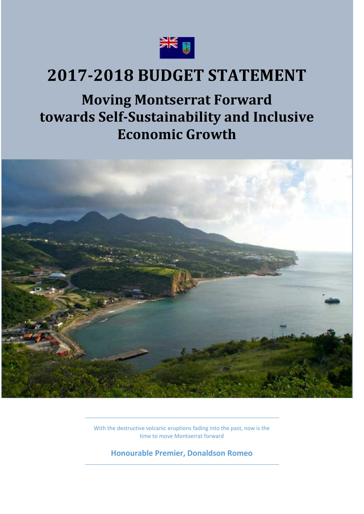

# **2017-2018 BUDGET STATEMENT**

**Moving Montserrat Forward towards Self-Sustainability and Inclusive Economic Growth**



With the destructive volcanic eruptions fading into the past, now is the time to move Montserrat forward

**Honourable Premier, Donaldson Romeo**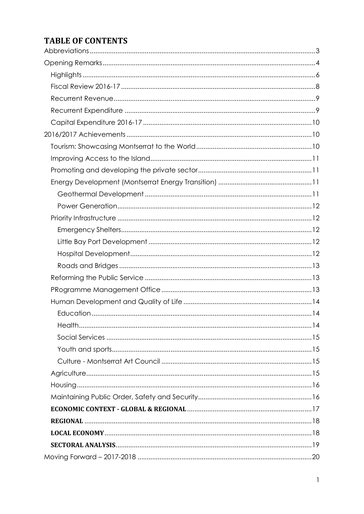# **TABLE OF CONTENTS**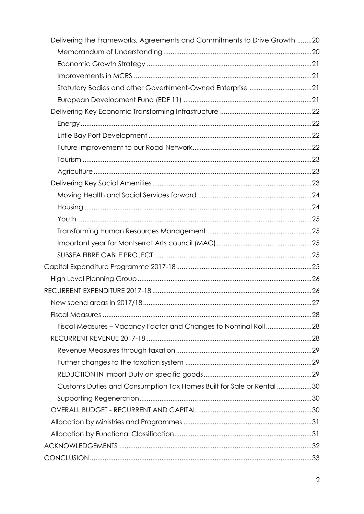| Delivering the Frameworks, Agreements and Commitments to Drive Growth 20 |  |
|--------------------------------------------------------------------------|--|
|                                                                          |  |
|                                                                          |  |
|                                                                          |  |
| Statutory Bodies and other GoverNment-Owned Enterprise 21                |  |
|                                                                          |  |
|                                                                          |  |
|                                                                          |  |
|                                                                          |  |
|                                                                          |  |
|                                                                          |  |
|                                                                          |  |
|                                                                          |  |
|                                                                          |  |
|                                                                          |  |
|                                                                          |  |
|                                                                          |  |
|                                                                          |  |
|                                                                          |  |
|                                                                          |  |
|                                                                          |  |
|                                                                          |  |
|                                                                          |  |
|                                                                          |  |
| Fiscal Measures - Vacancy Factor and Changes to Nominal Roll28           |  |
|                                                                          |  |
|                                                                          |  |
|                                                                          |  |
|                                                                          |  |
| Customs Duties and Consumption Tax Homes Built for Sale or Rental 30     |  |
|                                                                          |  |
|                                                                          |  |
|                                                                          |  |
|                                                                          |  |
|                                                                          |  |
|                                                                          |  |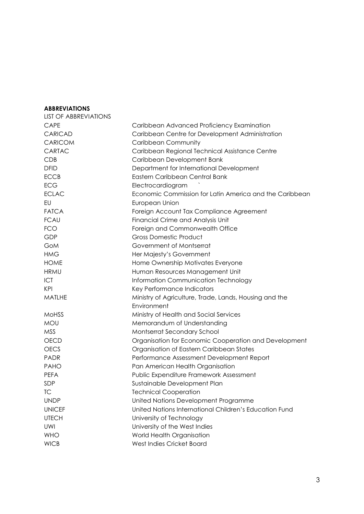#### **ABBREVIATIONS**

| <b>LIST OF ABBREVIATIONS</b> |                                                         |
|------------------------------|---------------------------------------------------------|
| <b>CAPE</b>                  | Caribbean Advanced Proficiency Examination              |
| <b>CARICAD</b>               | Caribbean Centre for Development Administration         |
| <b>CARICOM</b>               | <b>Caribbean Community</b>                              |
| CARTAC                       | Caribbean Regional Technical Assistance Centre          |
| CDB                          | Caribbean Development Bank                              |
| <b>DFID</b>                  | Department for International Development                |
| <b>ECCB</b>                  | Eastern Caribbean Central Bank                          |
| <b>ECG</b>                   | Electrocardiogram                                       |
| <b>ECLAC</b>                 | Economic Commission for Latin America and the Caribbean |
| EU                           | European Union                                          |
| <b>FATCA</b>                 | Foreign Account Tax Compliance Agreement                |
| <b>FCAU</b>                  | Financial Crime and Analysis Unit                       |
| <b>FCO</b>                   | Foreign and Commonwealth Office                         |
| GDP                          | <b>Gross Domestic Product</b>                           |
| GoM                          | Government of Montserrat                                |
| <b>HMG</b>                   | Her Majesty's Government                                |
| <b>HOME</b>                  | Home Ownership Motivates Everyone                       |
| <b>HRMU</b>                  | Human Resources Management Unit                         |
| ICT                          | Information Communication Technology                    |
| <b>KPI</b>                   | Key Performance Indicators                              |
| <b>MATLHE</b>                | Ministry of Agriculture, Trade, Lands, Housing and the  |
|                              | Environment                                             |
| <b>MOHSS</b>                 | Ministry of Health and Social Services                  |
| <b>MOU</b>                   | Memorandum of Understanding                             |
| <b>MSS</b>                   | Montserrat Secondary School                             |
| <b>OECD</b>                  | Organisation for Economic Cooperation and Development   |
| <b>OECS</b>                  | Organisation of Eastern Caribbean States                |
| <b>PADR</b>                  | Performance Assessment Development Report               |
| <b>PAHO</b>                  | Pan American Health Organisation                        |
| <b>PEFA</b>                  | Public Expenditure Framework Assessment                 |
| SDP                          | Sustainable Development Plan                            |
| ТC                           | <b>Technical Cooperation</b>                            |
| <b>UNDP</b>                  | United Nations Development Programme                    |
| <b>UNICEF</b>                | United Nations International Children's Education Fund  |
| <b>UTECH</b>                 | University of Technology                                |
| UWI                          | University of the West Indies                           |
| <b>WHO</b>                   | World Health Organisation                               |
| <b>WICB</b>                  | West Indies Cricket Board                               |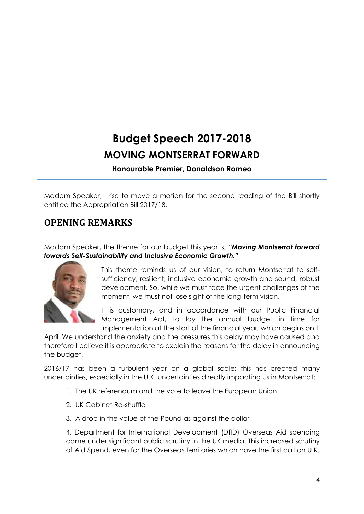# **Budget Speech 2017-2018 MOVING MONTSERRAT FORWARD**

**Honourable Premier, Donaldson Romeo**

Madam Speaker, I rise to move a motion for the second reading of the Bill shortly entitled the Appropriation Bill 2017/18.

# **OPENING REMARKS**

Madam Speaker, the theme for our budget this year is, *"Moving Montserrat forward towards Self-Sustainability and Inclusive Economic Growth."*



This theme reminds us of our vision, to return Montserrat to self sufficiency, resilient, inclusive economic growth and sound, robust development. So, while we must face the urgent challenges of the moment, we must not lose sight of the long-term vision.

It is customary, and in accordance with our Public Financial Management Act, to lay the annual budget in time for implementation at the start of the financial year, which begins on 1

April. We understand the anxiety and the pressures this delay may have caused and therefore I believe it is appropriate to explain the reasons for the delay in announcing the budget.

2016/17 has been a turbulent year on a global scale; this has created many uncertainties, especially in the U.K. uncertainties directly impacting us in Montserrat:

- 1. The UK referendum and the vote to leave the European Union
- 2. UK Cabinet Re-shuffle
- 3. A drop in the value of the Pound as against the dollar

4. Department for International Development (DfID) Overseas Aid spending came under significant public scrutiny in the UK media. This increased scrutiny of Aid Spend, even for the Overseas Territories which have the first call on U.K.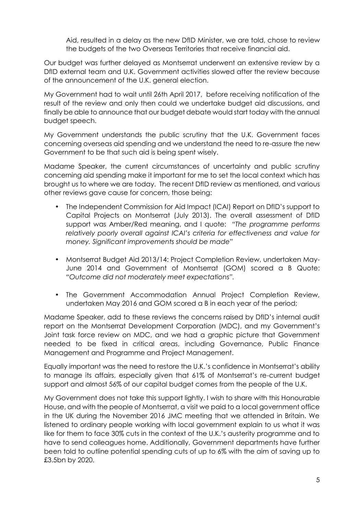Aid, resulted in a delay as the new DfID Minister, we are told, chose to review the budgets of the two Overseas Territories that receive financial aid.

Our budget was further delayed as Montserrat underwent an extensive review by a DfID external team and U.K. Government activities slowed after the review because of the announcement of the U.K. general election.

My Government had to wait until 26th April 2017, before receiving notification of the result of the review and only then could we undertake budget aid discussions, and finally be able to announce that our budget debate would start today with the annual budget speech.

My Government understands the public scrutiny that the U.K. Government faces concerning overseas aid spending and we understand the need to re-assure the new Government to be that such aid is being spent wisely.

Madame Speaker, the current circumstances of uncertainty and public scrutiny concerning aid spending make it important for me to set the local context which has brought us to where we are today. The recent DfID review as mentioned, and various other reviews gave cause for concern, those being:

- The Independent Commission for Aid Impact (ICAI) Report on DfID's support to Capital Projects on Montserrat (July 2013). The overall assessment of DfID support was Amber/Red meaning, and I quote: *"The programme performs relatively poorly overall against ICAI's criteria for effectiveness and value for money. Significant improvements should be made"*
- Montserrat Budget Aid 2013/14: Project Completion Review, undertaken May- June 2014 and Government of Montserrat (GOM) scored a B Quote: *"Outcome did not moderately meet expectations".*
- The Government Accommodation Annual Project Completion Review, undertaken May 2016 and GOM scored a B in each year of the period;

Madame Speaker, add to these reviews the concerns raised by DfID's internal audit report on the Montserrat Development Corporation (MDC), and my Government's Joint task force review on MDC, and we had a graphic picture that Government needed to be fixed in critical areas, including Governance, Public Finance Management and Programme and Project Management.

Equally important was the need to restore the U.K.'s confidence in Montserrat's ability to manage its affairs, especially given that 61% of Montserrat's re-current budget support and almost 56% of our capital budget comes from the people of the U.K.

My Government does not take this support lightly. I wish to share with this Honourable House, and with the people of Montserrat, a visit we paid to a local government office in the UK during the November 2016 JMC meeting that we attended in Britain. We listened to ordinary people working with local government explain to us what it was like for them to face 30% cuts in the context of the U.K.'s austerity programme and to have to send colleagues home. Additionally, Government departments have further been told to outline potential spending cuts of up to 6% with the aim of saving up to £3.5bn by 2020.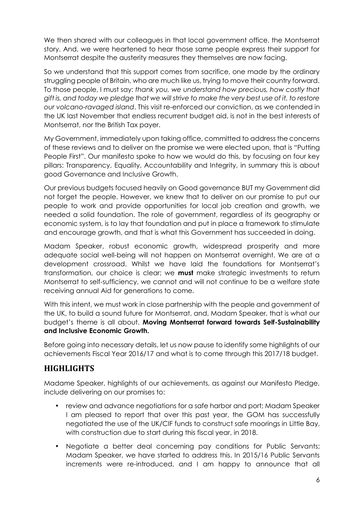We then shared with our colleagues in that local government office, the Montserrat story. And, we were heartened to hear those same people express their support for Montserrat despite the austerity measures they themselves are now facing.

So we understand that this support comes from sacrifice, one made by the ordinary struggling people of Britain, who are much like us, trying to move their country forward. To those people, I must say: *thank you, we understand how precious, how costly that gift is, and today we pledge that we will strive to make the very best use of it, to restore our volcano-ravaged island*. This visit re-enforced our conviction, as we contended in the UK last November that endless recurrent budget aid, is not in the best interests of Montserrat, nor the British Tax payer.

My Government, immediately upon taking office, committed to address the concerns of these reviews and to deliver on the promise we were elected upon, that is "Putting People First". Our manifesto spoke to how we would do this, by focusing on four key pillars: Transparency, Equality, Accountability and Integrity, in summary this is about good Governance and Inclusive Growth.

Our previous budgets focused heavily on Good governance BUT my Government did not forget the people. However, we knew that to deliver on our promise to put our people to work and provide opportunities for local job creation and growth, we needed a solid foundation. The role of government, regardless of its geography or economic system, is to lay that foundation and put in place a framework to stimulate and encourage growth, and that is what this Government has succeeded in doing.

Madam Speaker, robust economic growth, widespread prosperity and more adequate social well-being will not happen on Montserrat overnight. We are at a development crossroad. Whilst we have laid the foundations for Montserrat's transformation, our choice is clear; we **must** make strategic investments to return Montserrat to self-sufficiency, we cannot and will not continue to be a welfare state receiving annual Aid for generations to come.

With this intent, we must work in close partnership with the people and government of the UK, to build a sound future for Montserrat, and, Madam Speaker, that is what our budget's theme is all about. **Moving Montserrat forward towards Self-Sustainability and Inclusive Economic Growth.**

Before going into necessary details, let us now pause to identify some highlights of our achievements Fiscal Year 2016/17 and what is to come through this 2017/18 budget.

# **HIGHLIGHTS**

Madame Speaker, highlights of our achievements, as against our Manifesto Pledge, include delivering on our promises to:

- review and advance negotiations for a safe harbor and port; Madam Speaker I am pleased to report that over this past year, the GOM has successfully negotiated the use of the UK/CIF funds to construct safe moorings in Little Bay, with construction due to start during this fiscal year, in 2018.
- Negotiate a better deal concerning pay conditions for Public Servants; Madam Speaker, we have started to address this. In 2015/16 Public Servants increments were re-introduced, and I am happy to announce that all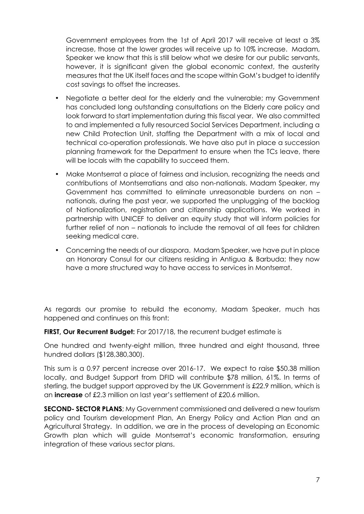Government employees from the 1st of April 2017 will receive at least a 3% increase, those at the lower grades will receive up to 10% increase. Madam, Speaker we know that this is still below what we desire for our public servants, however, it is significant given the global economic context, the austerity measures that the UK itself faces and the scope within GoM's budget to identify cost savings to offset the increases.

- Negotiate a better deal for the elderly and the vulnerable; my Government has concluded long outstanding consultations on the Elderly care policy and look forward to start implementation during this fiscal year. We also committed to and implemented a fully resourced Social Services Department, including a new Child Protection Unit, staffing the Department with a mix of local and technical co-operation professionals. We have also put in place a succession planning framework for the Department to ensure when the TCs leave, there will be locals with the capability to succeed them.
- Make Montserrat a place of fairness and inclusion, recognizing the needs and contributions of Montserratians and also non-nationals. Madam Speaker, my Government has committed to eliminate unreasonable burdens on non – nationals, during the past year, we supported the unplugging of the backlog of Nationalization, registration and citizenship applications. We worked in partnership with UNICEF to deliver an equity study that will inform policies for further relief of non – nationals to include the removal of all fees for children seeking medical care.
- Concerning the needs of our diaspora. Madam Speaker, we have put in place an Honorary Consul for our citizens residing in Antigua & Barbuda; they now have a more structured way to have access to services in Montserrat.

As regards our promise to rebuild the economy, Madam Speaker, much has happened and continues on this front:

**FIRST, Our Recurrent Budget:** For 2017/18, the recurrent budget estimate is

One hundred and twenty-eight million, three hundred and eight thousand, three hundred dollars (\$128,380,300).

This sum is a 0.97 percent increase over 2016-17. We expect to raise \$50.38 million locally, and Budget Support from DFID will contribute \$78 million, 61%. In terms of sterling, the budget support approved by the UK Government is £22.9 million, which is an **increase** of £2.3 million on last year's settlement of £20.6 million.

**SECOND- SECTOR PLANS**; My Government commissioned and delivered a new tourism policy and Tourism development Plan, An Energy Policy and Action Plan and an Agricultural Strategy. In addition, we are in the process of developing an Economic Growth plan which will guide Montserrat's economic transformation, ensuring integration of these various sector plans.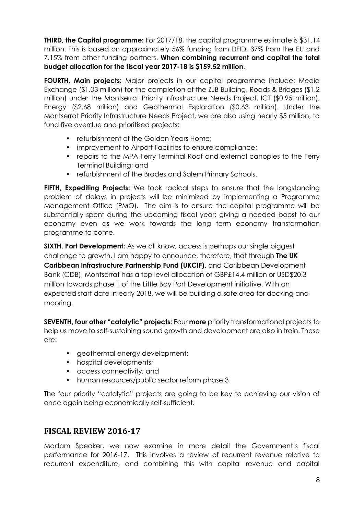**THIRD, the Capital programme:** For 2017/18, the capital programme estimate is \$31.14 million. This is based on approximately 56% funding from DFID, 37% from the EU and 7.15% from other funding partners. **When combining recurrent and capital the total budget allocation for the fiscal year 2017-18 is \$159.52 million**.

**FOURTH, Main projects:** Major projects in our capital programme include: Media Exchange (\$1.03 million) for the completion of the ZJB Building, Roads & Bridges (\$1.2 million) under the Montserrat Priority Infrastructure Needs Project, ICT (\$0.95 million), Energy (\$2.68 million) and Geothermal Exploration (\$0.63 million). Under the Montserrat Priority Infrastructure Needs Project, we are also using nearly \$5 million, to fund five overdue and prioritised projects:

- refurbishment of the Golden Years Home:
- improvement to Airport Facilities to ensure compliance;
- repairs to the MPA Ferry Terminal Roof and external canopies to the Ferry Terminal Building; and
- refurbishment of the Brades and Salem Primary Schools.

**FIFTH, Expediting Projects:** We took radical steps to ensure that the longstanding problem of delays in projects will be minimized by implementing a Programme Management Office (PMO). The aim is to ensure the capital programme will be substantially spent during the upcoming fiscal year; giving a needed boost to our economy even as we work towards the long term economy transformation programme to come.

**SIXTH, Port Development:** As we all know, access is perhaps our single biggest challenge to growth. I am happy to announce, therefore, that through **The UK Caribbean Infrastructure Partnership Fund (UKCIF)**, and Caribbean Development Bank (CDB), Montserrat has a top level allocation of GBP£14.4 million or USD\$20.3 million towards phase 1 of the Little Bay Port Development initiative. With an expected start date in early 2018, we will be building a safe area for docking and mooring.

**SEVENTH, four other "catalytic" projects:** Four **more** priority transformational projects to help us move to self-sustaining sound growth and development are also in train. These are:

- geothermal energy development;
- hospital developments;
- access connectivity; and
- human resources/public sector reform phase 3.

The four priority "catalytic" projects are going to be key to achieving our vision of once again being economically self-sufficient.

# **FISCAL REVIEW 2016-17**

Madam Speaker, we now examine in more detail the Government's fiscal performance for 2016-17. This involves a review of recurrent revenue relative to recurrent expenditure, and combining this with capital revenue and capital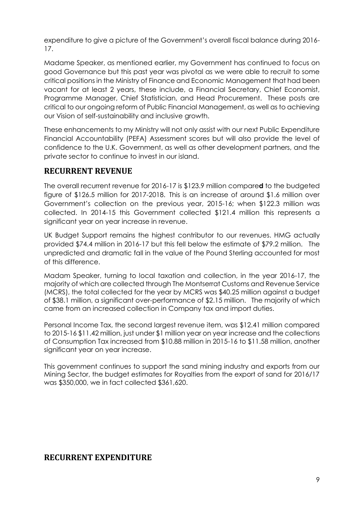expenditure to give a picture of the Government's overall fiscal balance during 2016- 17.

Madame Speaker, as mentioned earlier, my Government has continued to focus on good Governance but this past year was pivotal as we were able to recruit to some critical positions in the Ministry of Finance and Economic Management that had been vacant for at least 2 years, these include, a Financial Secretary, Chief Economist, Programme Manager, Chief Statistician, and Head Procurement. These posts are critical to our ongoing reform of Public Financial Management, as well as to achieving our Vision of self-sustainability and inclusive growth.

These enhancements to my Ministry will not only assist with our next Public Expenditure Financial Accountability (PEFA) Assessment scores but will also provide the level of confidence to the U.K. Government, as well as other development partners, and the private sector to continue to invest in our island.

## **RECURRENT REVENUE**

The overall recurrent revenue for 2016-17 is \$123.9 million compare**d** to the budgeted figure of \$126.5 million for 2017-2018. This is an increase of around \$1.6 million over Government's collection on the previous year, 2015-16; when \$122.3 million was collected. In 2014-15 this Government collected \$121.4 million this represents a significant year on year increase in revenue.

UK Budget Support remains the highest contributor to our revenues. HMG actually provided \$74.4 million in 2016-17 but this fell below the estimate of \$79.2 million. The unpredicted and dramatic fall in the value of the Pound Sterling accounted for most of this difference.

Madam Speaker, turning to local taxation and collection, in the year 2016-17, the majority of which are collected through The Montserrat Customs and Revenue Service (MCRS), the total collected for the year by MCRS was \$40.25 million against a budget of \$38.1 million, a significant over-performance of \$2.15 million. The majority of which came from an increased collection in Company tax and import duties.

Personal Income Tax, the second largest revenue item, was \$12.41 million compared to 2015-16 \$11.42 million, just under \$1 million year on year increase and the collections of Consumption Tax increased from \$10.88 million in 2015-16 to \$11.58 million, another significant year on year increase.

This government continues to support the sand mining industry and exports from our Mining Sector, the budget estimates for Royalties from the export of sand for 2016/17 was \$350,000, we in fact collected \$361,620.

# **RECURRENT EXPENDITURE**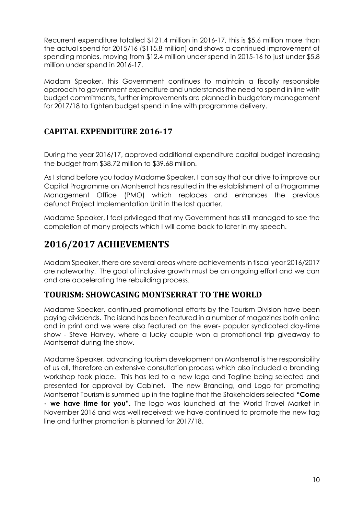Recurrent expenditure totalled \$121.4 million in 2016-17, this is \$5.6 million more than the actual spend for 2015/16 (\$115.8 million) and shows a continued improvement of spending monies, moving from \$12.4 million under spend in 2015-16 to just under \$5.8 million under spend in 2016-17.

Madam Speaker, this Government continues to maintain a fiscally responsible approach to government expenditure and understands the need to spend in line with budget commitments, further improvements are planned in budgetary management for 2017/18 to tighten budget spend in line with programme delivery.

# **CAPITAL EXPENDITURE 2016-17**

During the year 2016/17, approved additional expenditure capital budget increasing the budget from \$38.72 million to \$39.68 million.

As I stand before you today Madame Speaker, I can say that our drive to improve our Capital Programme on Montserrat has resulted in the establishment of a Programme Management Office (PMO) which replaces and enhances the previous defunct Project Implementation Unit in the last quarter.

Madame Speaker, I feel privileged that my Government has still managed to see the completion of many projects which I will come back to later in my speech.

# **2016/2017 ACHIEVEMENTS**

Madam Speaker, there are several areas where achievements in fiscal year 2016/2017 are noteworthy. The goal of inclusive growth must be an ongoing effort and we can and are accelerating the rebuilding process.

# **TOURISM: SHOWCASING MONTSERRAT TO THE WORLD**

Madame Speaker, continued promotional efforts by the Tourism Division have been paying dividends. The island has been featured in a number of magazines both online and in print and we were also featured on the ever- popular syndicated day-time show - Steve Harvey, where a lucky couple won a promotional trip giveaway to Montserrat during the show.

Madame Speaker, advancing tourism development on Montserrat is the responsibility of us all, therefore an extensive consultation process which also included a branding workshop took place. This has led to a new logo and Tagline being selected and presented for approval by Cabinet. The new Branding, and Logo for promoting Montserrat Tourism is summed up in the tagline that the Stakeholders selected **"Come - we have time for you".** The logo was launched at the World Travel Market in November 2016 and was well received; we have continued to promote the new tag line and further promotion is planned for 2017/18.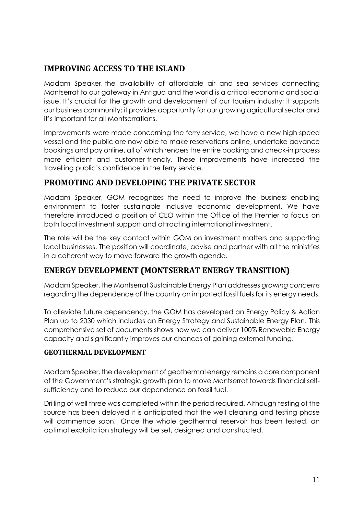# **IMPROVING ACCESS TO THE ISLAND**

Madam Speaker, the availability of affordable air and sea services connecting Montserrat to our gateway in Antigua and the world is a critical economic and social issue. It's crucial for the growth and development of our tourism industry; it supports our business community; it provides opportunity for our growing agricultural sector and it's important for all Montserratians.

Improvements were made concerning the ferry service, we have a new high speed vessel and the public are now able to make reservations online, undertake advance bookings and pay online, all of which renders the entire booking and check-in process more efficient and customer-friendly. These improvements have increased the travelling public's confidence in the ferry service.

# **PROMOTING AND DEVELOPING THE PRIVATE SECTOR**

Madam Speaker, GOM recognizes the need to improve the business enabling environment to foster sustainable inclusive economic development. We have therefore introduced a position of CEO within the Office of the Premier to focus on both local investment support and attracting international investment.

The role will be the key contact within GOM on investment matters and supporting local businesses. The position will coordinate, advise and partner with all the ministries in a coherent way to move forward the growth agenda.

# **ENERGY DEVELOPMENT (MONTSERRAT ENERGY TRANSITION)**

Madam Speaker, the Montserrat Sustainable Energy Plan addresses *growing concerns* regarding the dependence of the country on imported fossil fuels for its energy needs.

To alleviate future dependency, the GOM has developed an Energy Policy & Action Plan up to 2030 which includes an Energy Strategy and Sustainable Energy Plan. This comprehensive set of documents shows how we can deliver 100% Renewable Energy capacity and significantly improves our chances of gaining external funding.

#### **GEOTHERMAL DEVELOPMENT**

Madam Speaker, the development of geothermal energy remains a core component of the Government's strategic growth plan to move Montserrat towards financial self sufficiency and to reduce our dependence on fossil fuel.

Drilling of well three was completed within the period required. Although testing of the source has been delayed it is anticipated that the well cleaning and testing phase will commence soon. Once the whole geothermal reservoir has been tested, an optimal exploitation strategy will be set, designed and constructed.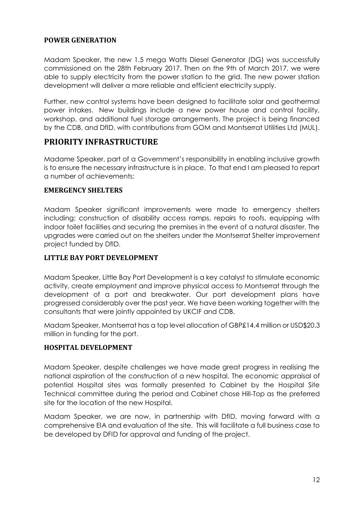#### **POWER GENERATION**

Madam Speaker, the new 1.5 mega Watts Diesel Generator (DG) was successfully commissioned on the 28th February 2017. Then on the 9th of March 2017, we were able to supply electricity from the power station to the grid. The new power station development will deliver a more reliable and efficient electricity supply.

Further, new control systems have been designed to facilitate solar and geothermal power intakes. New buildings include a new power house and control facility, workshop, and additional fuel storage arrangements. The project is being financed by the CDB, and DfID, with contributions from GOM and Montserrat Utilities Ltd (MUL).

#### **PRIORITY INFRASTRUCTURE**

Madame Speaker, part of a Government's responsibility in enabling inclusive growth is to ensure the necessary infrastructure is in place. To that end I am pleased to report a number of achievements:

#### **EMERGENCY SHELTERS**

Madam Speaker significant improvements were made to emergency shelters including; construction of disability access ramps, repairs to roofs, equipping with indoor toilet facilities and securing the premises in the event of a natural disaster. The upgrades were carried out on the shelters under the Montserrat Shelter improvement project funded by DfID.

#### **LITTLE BAY PORT DEVELOPMENT**

Madam Speaker, Little Bay Port Development is a key catalyst to stimulate economic activity, create employment and improve physical access to Montserrat through the development of a port and breakwater. Our port development plans have progressed considerably over the past year. We have been working together with the consultants that were jointly appointed by UKCIF and CDB.

Madam Speaker, Montserrat has a top level allocation of GBP£14.4 million or USD\$20.3 million in funding for the port.

#### **HOSPITAL DEVELOPMENT**

Madam Speaker, despite challenges we have made great progress in realising the national aspiration of the construction of a new hospital. The economic appraisal of potential Hospital sites was formally presented to Cabinet by the Hospital Site Technical committee during the period and Cabinet chose Hill-Top as the preferred site for the location of the new Hospital.

Madam Speaker, we are now, in partnership with DfID, moving forward with a comprehensive EIA and evaluation of the site. This will facilitate a full business case to be developed by DFID for approval and funding of the project.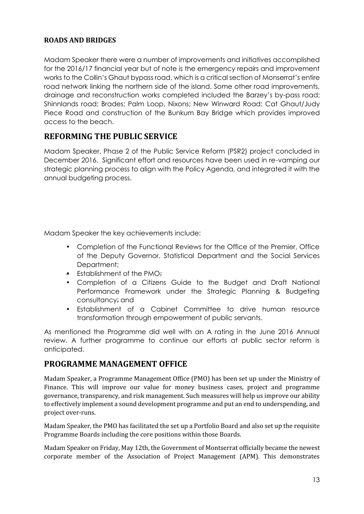#### **ROADS AND BRIDGES**

Madam Speaker there were a number of improvements and initiatives accomplished for the 2016/17 financial year but of note is the emergency repairs and improvement works to the Collin's Ghaut bypass road, which is a critical section of Monserrat's entire road network linking the northern side of the island. Some other road improvements, drainage and reconstruction works completed included the Barzey's by-pass road; Shinnlands road; Brades; Palm Loop, Nixons; New Winward Road; Cat Ghaut/Judy Piece Road and construction of the Bunkum Bay Bridge which provides improved access to the beach.

# **REFORMING THE PUBLIC SERVICE**

Madam Speaker, Phase 2 of the Public Service Reform (PSR2) project concluded in December 2016. Significant effort and resources have been used in re-vamping our strategic planning process to align with the Policy Agenda, and integrated it with the annual budgeting process.

Madam Speaker the key achievements include:

- Completion of the Functional Reviews for the Office of the Premier, Office of the Deputy Governor, Statistical Department and the Social Services Department;
- **Establishment of the PMO:**
- Completion of a Citizens Guide to the Budget and Draft National Performance Framework under the Strategic Planning & Budgeting consultancy; and
- Establishment of a Cabinet Committee to drive human resource transformation through empowerment of public servants.

As mentioned the Programme did well with an A rating in the June 2016 Annual review. A further programme to continue our efforts at public sector reform is anticipated.

## **PROGRAMME MANAGEMENT OFFICE**

Madam Speaker, a Programme Management Office (PMO) has been set up under the Ministry of Finance. This will improve our value for money business cases, project and programme governance, transparency, and risk management. Such measures will help us improve our ability to effectively implement a sound development programme and put an end to underspending, and project over-runs.

Madam Speaker, the PMO has facilitated the set up a Portfolio Board and also set up the requisite Programme Boards including the core positions within those Boards.

Madam Speaker on Friday, May 12th, the Government of Montserrat officially became the newest corporate member of the Association of Project Management (APM). This demonstrates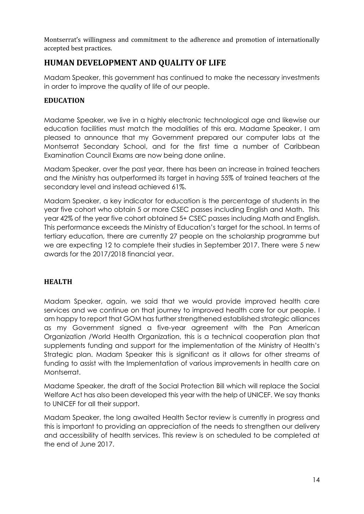Montserrat's willingness and commitment to the adherence and promotion of internationally accepted best practices.

# **HUMAN DEVELOPMENT AND QUALITY OF LIFE**

Madam Speaker, this government has continued to make the necessary investments in order to improve the quality of life of our people.

#### **EDUCATION**

Madame Speaker, we live in a highly electronic technological age and likewise our education facilities must match the modalities of this era. Madame Speaker, I am pleased to announce that my Government prepared our computer labs at the Montserrat Secondary School, and for the first time a number of Caribbean Examination Council Exams are now being done online.

Madam Speaker, over the past year, there has been an increase in trained teachers and the Ministry has outperformed its target in having 55% of trained teachers at the secondary level and instead achieved 61%.

Madam Speaker, a key indicator for education is the percentage of students in the year five cohort who obtain 5 or more CSEC passes including English and Math. This year 42% of the year five cohort obtained 5+ CSEC passes including Math and English. This performance exceeds the Ministry of Education's target for the school. In terms of tertiary education, there are currently 27 people on the scholarship programme but we are expecting 12 to complete their studies in September 2017. There were 5 new awards for the 2017/2018 financial year.

## **HEALTH**

Madam Speaker, again, we said that we would provide improved health care services and we continue on that journey to improved health care for our people. I am happy to report that GOM has further strengthened established strategic alliances as my Government signed a five-year agreement with the Pan American Organization /World Health Organization, this is a technical cooperation plan that supplements funding and support for the implementation of the Ministry of Health's Strategic plan. Madam Speaker this is significant as it allows for other streams of funding to assist with the Implementation of various improvements in health care on Montserrat.

Madame Speaker, the draft of the Social Protection Bill which will replace the Social Welfare Act has also been developed this year with the help of UNICEF. We say thanks to UNICEF for all their support.

Madam Speaker, the long awaited Health Sector review is currently in progress and this is important to providing an appreciation of the needs to strengthen our delivery and accessibility of health services. This review is on scheduled to be completed at the end of June 2017.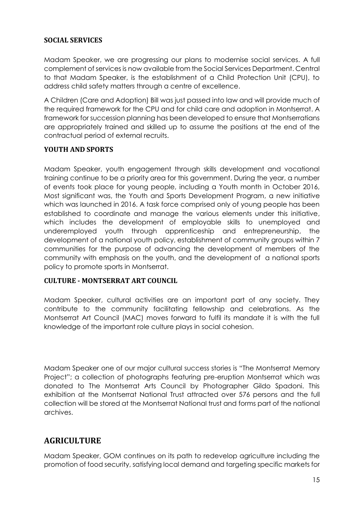#### **SOCIAL SERVICES**

Madam Speaker, we are progressing our plans to modernise social services. A full complement of services is now available from the Social Services Department. Central to that Madam Speaker, is the establishment of a Child Protection Unit (CPU), to address child safety matters through a centre of excellence.

A Children (Care and Adoption) Bill was just passed into law and will provide much of the required framework for the CPU and for child care and adoption in Montserrat. A framework for succession planning has been developed to ensure that Montserratians are appropriately trained and skilled up to assume the positions at the end of the contractual period of external recruits.

#### **YOUTH AND SPORTS**

Madam Speaker, youth engagement through skills development and vocational training continue to be a priority area for this government. During the year, a number of events took place for young people, including a Youth month in October 2016, Most significant was, the Youth and Sports Development Program, a new initiative which was launched in 2016. A task force comprised only of young people has been established to coordinate and manage the various elements under this initiative, which includes the development of employable skills to unemployed and underemployed youth through apprenticeship and entrepreneurship, the development of a national youth policy, establishment of community groups within 7 communities for the purpose of advancing the development of members of the community with emphasis on the youth, and the development of a national sports policy to promote sports in Montserrat.

#### **CULTURE - MONTSERRAT ART COUNCIL**

Madam Speaker, cultural activities are an important part of any society. They contribute to the community facilitating fellowship and celebrations. As the Montserrat Art Council (MAC) moves forward to fulfil its mandate it is with the full knowledge of the important role culture plays in social cohesion.

Madam Speaker one of our major cultural success stories is "The Montserrat Memory Project"; a collection of photographs featuring pre-eruption Montserrat which was donated to The Montserrat Arts Council by Photographer Gildo Spadoni. This exhibition at the Montserrat National Trust attracted over 576 persons and the full collection will be stored at the Montserrat National trust and forms part of the national archives.

# **AGRICULTURE**

Madam Speaker, GOM continues on its path to redevelop agriculture including the promotion of food security, satisfying local demand and targeting specific markets for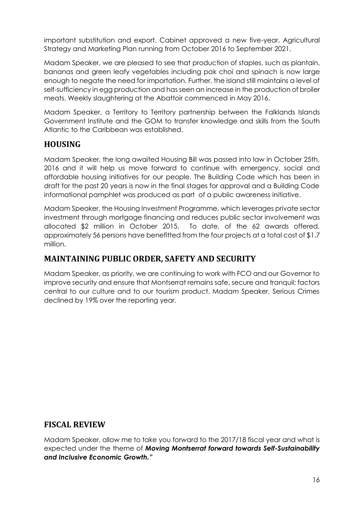important substitution and export. Cabinet approved a new five-year, Agricultural Strategy and Marketing Plan running from October 2016 to September 2021.

Madam Speaker, we are pleased to see that production of staples, such as plantain, bananas and green leafy vegetables including pak choi and spinach is now large enough to negate the need for importation. Further, the island still maintains a level of self-sufficiency in egg production and has seen an increase in the production of broiler meats. Weekly slaughtering at the Abattoir commenced in May 2016.

Madam Speaker, a Territory to Territory partnership between the Falklands Islands Government Institute and the GOM to transfer knowledge and skills from the South Atlantic to the Caribbean was established.

# **HOUSING**

Madam Speaker, the long awaited Housing Bill was passed into law in October 25th, 2016 and it will help us move forward to continue with emergency, social and affordable housing initiatives for our people. The Building Code which has been in draft for the past 20 years is now in the final stages for approval and a Building Code informational pamphlet was produced as part of a public awareness initiative.

Madam Speaker, the Housing Investment Programme, which leverages private sector investment through mortgage financing and reduces public sector involvement was allocated \$2 million in October 2015. To date, of the 62 awards offered, approximately 56 persons have benefitted from the four projects at a total cost of \$1.7 million.

## **MAINTAINING PUBLIC ORDER, SAFETY AND SECURITY**

Madam Speaker, as priority, we are continuing to work with FCO and our Governor to improve security and ensure that Montserrat remains safe, secure and tranquil; factors central to our culture and to our tourism product. Madam Speaker, Serious Crimes declined by 19% over the reporting year.

## **FISCAL REVIEW**

Madam Speaker, allow me to take you forward to the 2017/18 fiscal year and what is expected under the theme of *Moving Montserrat forward towards Self-Sustainability and Inclusive Economic Growth."*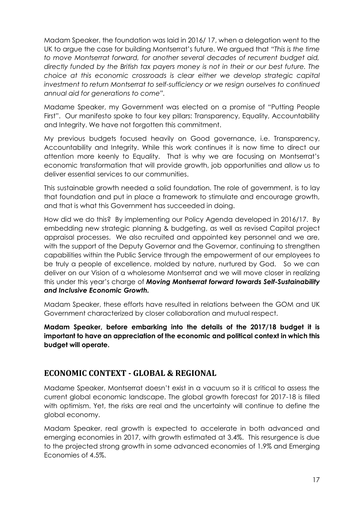Madam Speaker, the foundation was laid in 2016/ 17, when a delegation went to the UK to argue the case for building Montserrat's future. We argued that *"This is the time to move Montserrat forward, for another several decades of recurrent budget aid, directly funded by the British tax payers money is not in their or our best future. The choice at this economic crossroads is clear either we develop strategic capital investment to return Montserrat to self-sufficiency or we resign ourselves to continued annual aid for generations to come".*

Madame Speaker, my Government was elected on a promise of "Putting People First". Our manifesto spoke to four key pillars: Transparency, Equality, Accountability and Integrity. We have not forgotten this commitment.

My previous budgets focused heavily on Good governance, i.e. Transparency, Accountability and Integrity. While this work continues it is now time to direct our attention more keenly to Equality. That is why we are focusing on Montserrat's economic transformation that will provide growth, job opportunities and allow us to deliver essential services to our communities.

This sustainable growth needed a solid foundation. The role of government, is to lay that foundation and put in place a framework to stimulate and encourage growth, and that is what this Government has succeeded in doing.

How did we do this? By implementing our Policy Agenda developed in 2016/17. By embedding new strategic planning & budgeting, as well as revised Capital project appraisal processes. We also recruited and appointed key personnel and we are, with the support of the Deputy Governor and the Governor, continuing to strengthen capabilities within the Public Service through the empowerment of our employees to be truly a people of excellence, molded by nature, nurtured by God. So we can deliver on our Vision of a wholesome Montserrat and we will move closer in realizing this under this year's charge of *Moving Montserrat forward towards Self-Sustainability and Inclusive Economic Growth.*

Madam Speaker, these efforts have resulted in relations between the GOM and UK Government characterized by closer collaboration and mutual respect.

**Madam Speaker, before embarking into the details of the 2017/18 budget it is important to have an appreciation of the economic and political context in which this budget will operate.**

## **ECONOMIC CONTEXT - GLOBAL & REGIONAL**

Madame Speaker, Montserrat doesn't exist in a vacuum so it is critical to assess the current global economic landscape. The global growth forecast for 2017-18 is filled with optimism. Yet, the risks are real and the uncertainty will continue to define the global economy.

Madam Speaker, real growth is expected to accelerate in both advanced and emerging economies in 2017, with growth estimated at 3.4%. This resurgence is due to the projected strong growth in some advanced economies of 1.9% and Emerging Economies of 4.5%.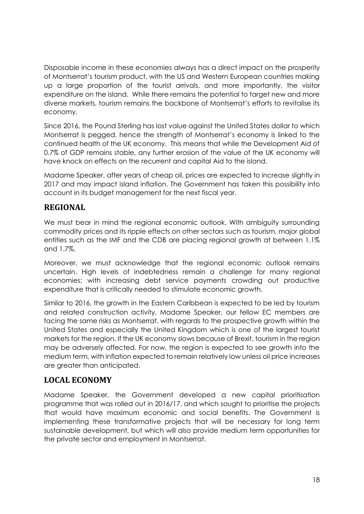Disposable income in these economies always has a direct impact on the prosperity of Montserrat's tourism product, with the US and Western European countries making up a large proportion of the tourist arrivals, and more importantly, the visitor expenditure on the island. While there remains the potential to target new and more diverse markets, tourism remains the backbone of Montserrat's efforts to revitalise its economy.

Since 2016, the Pound Sterling has lost value against the United States dollar to which Montserrat is pegged, hence the strength of Montserrat's economy is linked to the continued health of the UK economy. This means that while the Development Aid of 0.7% of GDP remains stable, any further erosion of the value of the UK economy will have knock on effects on the recurrent and capital Aid to the island.

Madame Speaker, after years of cheap oil, prices are expected to increase slightly in 2017 and may impact island inflation. The Government has taken this possibility into account in its budget management for the next fiscal year.

# **REGIONAL**

We must bear in mind the regional economic outlook. With ambiguity surrounding commodity prices and its ripple effects on other sectors such as tourism, major global entities such as the IMF and the CDB are placing regional growth at between 1.1% and 1.7%.

Moreover, we must acknowledge that the regional economic outlook remains uncertain. High levels of indebtedness remain a challenge for many regional economies; with increasing debt service payments crowding out productive expenditure that is critically needed to stimulate economic growth.

Similar to 2016, the growth in the Eastern Caribbean is expected to be led by tourism and related construction activity. Madame Speaker, our fellow EC members are facing the same risks as Montserrat, with regards to the prospective growth within the United States and especially the United Kingdom which is one of the largest tourist markets for the region. If the UK economy slows because of Brexit, tourism in the region may be adversely affected. For now, the region is expected to see growth into the medium term, with inflation expected to remain relatively low unless oil price increases are greater than anticipated.

# **LOCAL ECONOMY**

Madame Speaker, the Government developed a new capital prioritisation programme that was rolled out in 2016/17, and which sought to prioritise the projects that would have maximum economic and social benefits. The Government is implementing these transformative projects that will be necessary for long term sustainable development, but which will also provide medium term opportunities for the private sector and employment in Montserrat.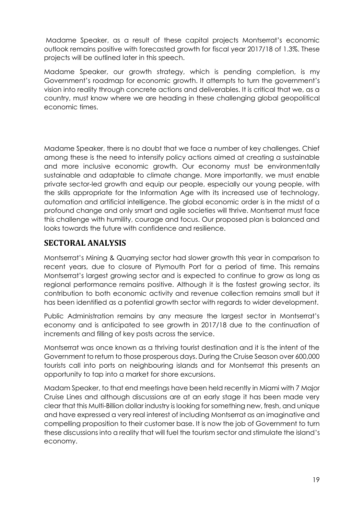Madame Speaker, as a result of these capital projects Montserrat's economic outlook remains positive with forecasted growth for fiscal year 2017/18 of 1.3%. These projects will be outlined later in this speech.

Madame Speaker, our growth strategy, which is pending completion, is my Government's roadmap for economic growth. It attempts to turn the government's vision into reality through concrete actions and deliverables. It is critical that we, as a country, must know where we are heading in these challenging global geopolitical economic times.

Madame Speaker, there is no doubt that we face a number of key challenges. Chief among these is the need to intensify policy actions aimed at creating a sustainable and more inclusive economic growth. Our economy must be environmentally sustainable and adaptable to climate change. More importantly, we must enable private sector-led growth and equip our people, especially our young people, with the skills appropriate for the Information Age with its increased use of technology, automation and artificial intelligence. The global economic order is in the midst of a profound change and only smart and agile societies will thrive. Montserrat must face this challenge with humility, courage and focus. Our proposed plan is balanced and looks towards the future with confidence and resilience.

## **SECTORAL ANALYSIS**

Montserrat's Mining & Quarrying sector had slower growth this year in comparison to recent years, due to closure of Plymouth Port for a period of time. This remains Montserrat's largest growing sector and is expected to continue to grow as long as regional performance remains positive. Although it is the fastest growing sector, its contribution to both economic activity and revenue collection remains small but it has been identified as a potential growth sector with regards to wider development.

Public Administration remains by any measure the largest sector in Montserrat's economy and is anticipated to see growth in 2017/18 due to the continuation of increments and filling of key posts across the service.

Montserrat was once known as a thriving tourist destination and it is the intent of the Government to return to those prosperous days. During the Cruise Season over 600,000 tourists call into ports on neighbouring islands and for Montserrat this presents an opportunity to tap into a market for shore excursions.

Madam Speaker, to that end meetings have been held recently in Miami with 7 Major Cruise Lines and although discussions are at an early stage it has been made very clear that this Multi-Billion dollar industry is looking for something new, fresh, and unique and have expressed a very real interest of including Montserrat as an imaginative and compelling proposition to their customer base. It is now the job of Government to turn these discussions into a reality that will fuel the tourism sector and stimulate the island's economy.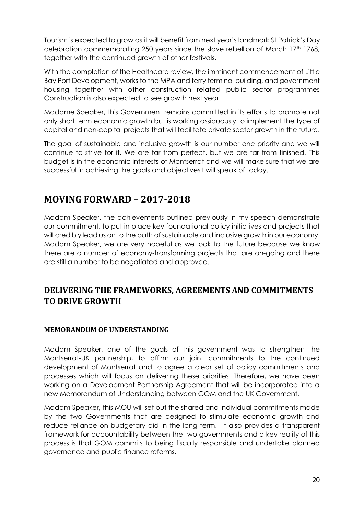Tourism is expected to grow as it will benefit from next year's landmark St Patrick's Day celebration commemorating 250 years since the slave rebellion of March 17th 1768, together with the continued growth of other festivals.

With the completion of the Healthcare review, the imminent commencement of Little Bay Port Development, works to the MPA and ferry terminal building, and government housing together with other construction related public sector programmes Construction is also expected to see growth next year.

Madame Speaker, this Government remains committed in its efforts to promote not only short term economic growth but is working assiduously to implement the type of capital and non-capital projects that will facilitate private sector growth in the future.

The goal of sustainable and inclusive growth is our number one priority and we will continue to strive for it. We are far from perfect, but we are far from finished. This budget is in the economic interests of Montserrat and we will make sure that we are successful in achieving the goals and objectives I will speak of today.

# **MOVING FORWARD – 2017-2018**

Madam Speaker, the achievements outlined previously in my speech demonstrate our commitment, to put in place key foundational policy initiatives and projects that will credibly lead us on to the path of sustainable and inclusive growth in our economy. Madam Speaker, we are very hopeful as we look to the future because we know there are a number of economy-transforming projects that are on-going and there are still a number to be negotiated and approved.

# **DELIVERING THE FRAMEWORKS, AGREEMENTS AND COMMITMENTS TO DRIVE GROWTH**

#### **MEMORANDUM OF UNDERSTANDING**

Madam Speaker, one of the goals of this government was to strengthen the Montserrat-UK partnership, to affirm our joint commitments to the continued development of Montserrat and to agree a clear set of policy commitments and processes which will focus on delivering these priorities. Therefore, we have been working on a Development Partnership Agreement that will be incorporated into a new Memorandum of Understanding between GOM and the UK Government.

Madam Speaker, this MOU will set out the shared and individual commitments made by the two Governments that are designed to stimulate economic growth and reduce reliance on budgetary aid in the long term. It also provides a transparent framework for accountability between the two governments and a key reality of this process is that GOM commits to being fiscally responsible and undertake planned governance and public finance reforms.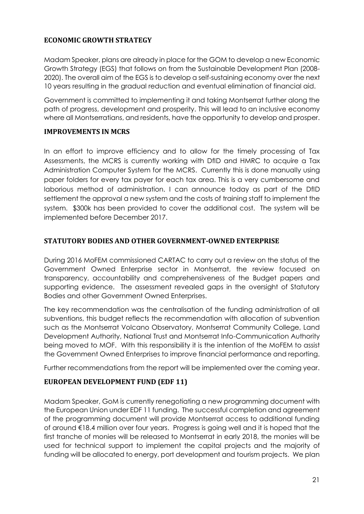#### **ECONOMIC GROWTH STRATEGY**

Madam Speaker, plans are already in place for the GOM to develop a new Economic Growth Strategy (EGS) that follows on from the Sustainable Development Plan (2008- 2020). The overall aim of the EGS is to develop a self-sustaining economy over the next 10 years resulting in the gradual reduction and eventual elimination of financial aid.

Government is committed to implementing it and taking Montserrat further along the path of progress, development and prosperity. This will lead to an inclusive economy where all Montserratians, and residents, have the opportunity to develop and prosper.

#### **IMPROVEMENTS IN MCRS**

In an effort to improve efficiency and to allow for the timely processing of Tax Assessments, the MCRS is currently working with DfID and HMRC to acquire a Tax Administration Computer System for the MCRS. Currently this is done manually using paper folders for every tax payer for each tax area. This is a very cumbersome and laborious method of administration. I can announce today as part of the DfID settlement the approval a new system and the costs of training staff to implement the system. \$300k has been provided to cover the additional cost. The system will be implemented before December 2017.

#### **STATUTORY BODIES AND OTHER GOVERNMENT-OWNED ENTERPRISE**

During 2016 MoFEM commissioned CARTAC to carry out a review on the status of the Government Owned Enterprise sector in Montserrat, the review focused on transparency, accountability and comprehensiveness of the Budget papers and supporting evidence. The assessment revealed gaps in the oversight of Statutory Bodies and other Government Owned Enterprises.

The key recommendation was the centralisation of the funding administration of all subventions, this budget reflects the recommendation with allocation of subvention such as the Montserrat Volcano Observatory, Montserrat Community College, Land Development Authority, National Trust and Montserrat Info-Communication Authority being moved to MOF. With this responsibility it is the intention of the MoFEM to assist the Government Owned Enterprises to improve financial performance and reporting.

Further recommendations from the report will be implemented over the coming year.

## **EUROPEAN DEVELOPMENT FUND (EDF 11)**

Madam Speaker, GoM is currently renegotiating a new programming document with the European Union under EDF 11 funding. The successful completion and agreement of the programming document will provide Montserrat access to additional funding of around €18.4 million over four years. Progress is going well and it is hoped that the first tranche of monies will be released to Montserrat in early 2018, the monies will be used for technical support to implement the capital projects and the majority of funding will be allocated to energy, port development and tourism projects. We plan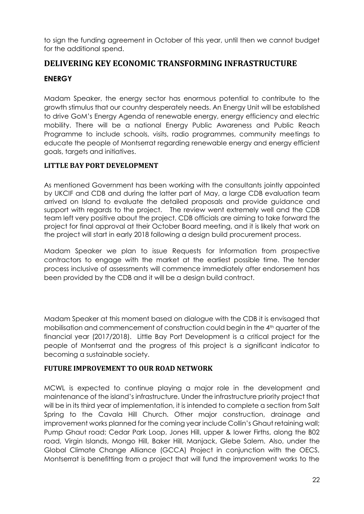to sign the funding agreement in October of this year, until then we cannot budget for the additional spend.

## **DELIVERING KEY ECONOMIC TRANSFORMING INFRASTRUCTURE**

#### **ENERGY**

Madam Speaker, the energy sector has enormous potential to contribute to the growth stimulus that our country desperately needs. An Energy Unit will be established to drive GoM's Energy Agenda of renewable energy, energy efficiency and electric mobility. There will be a national Energy Public Awareness and Public Reach Programme to include schools, visits, radio programmes, community meetings to educate the people of Montserrat regarding renewable energy and energy efficient goals, targets and initiatives.

#### **LITTLE BAY PORT DEVELOPMENT**

As mentioned Government has been working with the consultants jointly appointed by UKCIF and CDB and during the latter part of May, a large CDB evaluation team arrived on Island to evaluate the detailed proposals and provide guidance and support with regards to the project. The review went extremely well and the CDB team left very positive about the project. CDB officials are aiming to take forward the project for final approval at their October Board meeting, and it is likely that work on the project will start in early 2018 following a design build procurement process.

Madam Speaker we plan to issue Requests for Information from prospective contractors to engage with the market at the earliest possible time. The tender process inclusive of assessments will commence immediately after endorsement has been provided by the CDB and it will be a design build contract.

Madam Speaker at this moment based on dialogue with the CDB it is envisaged that mobilisation and commencement of construction could begin in the 4th quarter of the financial year (2017/2018). Little Bay Port Development is a critical project for the people of Montserrat and the progress of this project is a significant indicator to becoming a sustainable society.

#### **FUTURE IMPROVEMENT TO OUR ROAD NETWORK**

MCWL is expected to continue playing a major role in the development and maintenance of the island's infrastructure. Under the infrastructure priority project that will be in its third year of implementation, it is intended to complete a section from Salt Spring to the Cavala Hill Church. Other major construction, drainage and improvement works planned for the coming year include Collin's Ghaut retaining wall; Pump Ghaut road; Cedar Park Loop, Jones Hill, upper & lower Firths, along the B02 road, Virgin Islands, Mongo Hill, Baker Hill, Manjack, Glebe Salem. Also, under the Global Climate Change Alliance (GCCA) Project in conjunction with the OECS, Montserrat is benefitting from a project that will fund the improvement works to the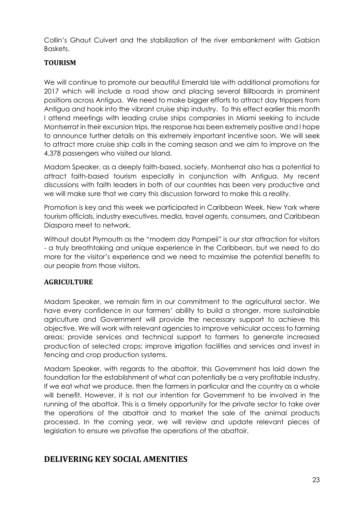Collin's Ghaut Culvert and the stabilization of the river embankment with Gabion Baskets.

#### **TOURISM**

We will continue to promote our beautiful Emerald Isle with additional promotions for 2017 which will include a road show and placing several Billboards in prominent positions across Antigua. We need to make bigger efforts to attract day trippers from Antigua and hook into the vibrant cruise ship industry. To this effect earlier this month I attend meetings with leading cruise ships companies in Miami seeking to include Montserrat in their excursion trips, the response has been extremely positive and I hope to announce further details on this extremely important incentive soon. We will seek to attract more cruise ship calls in the coming season and we aim to improve on the 4,378 passengers who visited our Island.

Madam Speaker, as a deeply faith-based, society, Montserrat also has a potential to attract faith-based tourism especially in conjunction with Antigua. My recent discussions with faith leaders in both of our countries has been very productive and we will make sure that we carry this discussion forward to make this a reality.

Promotion is key and this week we participated in Caribbean Week, New York where tourism officials, industry executives, media, travel agents, consumers, and Caribbean Diaspora meet to network.

Without doubt Plymouth as the "modern day Pompeii" is our star attraction for visitors - a truly breathtaking and unique experience in the Caribbean, but we need to do more for the visitor's experience and we need to maximise the potential benefits to our people from those visitors.

#### **AGRICULTURE**

Madam Speaker, we remain firm in our commitment to the agricultural sector. We have every confidence in our farmers' ability to build a stronger, more sustainable agriculture and Government will provide the necessary support to achieve this objective. We will work with relevant agencies to improve vehicular access to farming areas; provide services and technical support to farmers to generate increased production of selected crops; improve irrigation facilities and services and invest in fencing and crop production systems.

Madam Speaker, with regards to the abattoir, this Government has laid down the foundation for the establishment of what can potentially be a very profitable industry. If we eat what we produce, then the farmers in particular and the country as a whole will benefit. However, it is not our intention for Government to be involved in the running of the abattoir. This is a timely opportunity for the private sector to take over the operations of the abattoir and to market the sale of the animal products processed. In the coming year, we will review and update relevant pieces of legislation to ensure we privatise the operations of the abattoir.

## **DELIVERING KEY SOCIAL AMENITIES**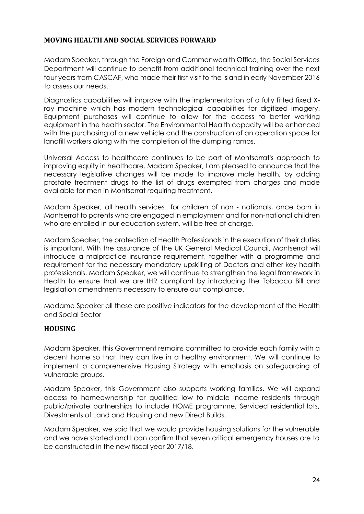#### **MOVING HEALTH AND SOCIAL SERVICES FORWARD**

Madam Speaker, through the Foreign and Commonwealth Office, the Social Services Department will continue to benefit from additional technical training over the next four years from CASCAF, who made their first visit to the island in early November 2016 to assess our needs.

Diagnostics capabilities will improve with the implementation of a fully fitted fixed Xray machine which has modern technological capabilities for digitized imagery. Equipment purchases will continue to allow for the access to better working equipment in the health sector. The Environmental Health capacity will be enhanced with the purchasing of a new vehicle and the construction of an operation space for landfill workers along with the completion of the dumping ramps.

Universal Access to healthcare continues to be part of Montserrat's approach to improving equity in healthcare. Madam Speaker, I am pleased to announce that the necessary legislative changes will be made to improve male health, by adding prostate treatment drugs to the list of drugs exempted from charges and made available for men in Montserrat requiring treatment.

Madam Speaker, all health services for children of non - nationals, once born in Montserrat to parents who are engaged in employment and for non-national children who are enrolled in our education system, will be free of charge.

Madam Speaker, the protection of Health Professionals in the execution of their duties is important. With the assurance of the UK General Medical Council, Montserrat will introduce a malpractice insurance requirement, together with a programme and requirement for the necessary mandatory upskilling of Doctors and other key health professionals. Madam Speaker, we will continue to strengthen the legal framework in Health to ensure that we are IHR compliant by introducing the Tobacco Bill and legislation amendments necessary to ensure our compliance.

Madame Speaker all these are positive indicators for the development of the Health and Social Sector

#### **HOUSING**

Madam Speaker, this Government remains committed to provide each family with a decent home so that they can live in a healthy environment. We will continue to implement a comprehensive Housing Strategy with emphasis on safeguarding of vulnerable groups.

Madam Speaker, this Government also supports working families. We will expand access to homeownership for qualified low to middle income residents through public/private partnerships to include HOME programme, Serviced residential lots, Divestments of Land and Housing and new Direct Builds.

Madam Speaker, we said that we would provide housing solutions for the vulnerable and we have started and I can confirm that seven critical emergency houses are to be constructed in the new fiscal year 2017/18.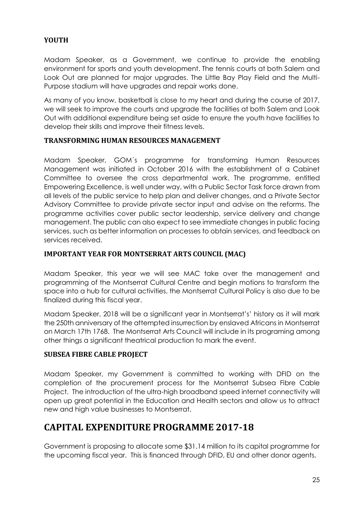#### **YOUTH**

Madam Speaker, as a Government, we continue to provide the enabling environment for sports and youth development. The tennis courts at both Salem and Look Out are planned for major upgrades. The Little Bay Play Field and the Multi- Purpose stadium will have upgrades and repair works done.

As many of you know, basketball is close to my heart and during the course of 2017, we will seek to improve the courts and upgrade the facilities at both Salem and Look Out with additional expenditure being set aside to ensure the youth have facilities to develop their skills and improve their fitness levels.

#### **TRANSFORMING HUMAN RESOURCES MANAGEMENT**

Madam Speaker, GOM´s programme for transforming Human Resources Management was initiated in October 2016 with the establishment of a Cabinet Committee to oversee the cross departmental work. The programme, entitled Empowering Excellence, is well under way, with a Public Sector Task force drawn from all levels of the public service to help plan and deliver changes, and a Private Sector Advisory Committee to provide private sector input and advise on the reforms. The programme activities cover public sector leadership, service delivery and change management. The public can also expect to see immediate changes in public facing services, such as better information on processes to obtain services, and feedback on services received.

#### **IMPORTANT YEAR FOR MONTSERRAT ARTS COUNCIL (MAC)**

Madam Speaker, this year we will see MAC take over the management and programming of the Montserrat Cultural Centre and begin motions to transform the space into a hub for cultural activities, the Montserrat Cultural Policy is also due to be finalized during this fiscal year.

Madam Speaker, 2018 will be a significant year in Montserrat's' history as it will mark the 250th anniversary of the attempted insurrection by enslaved Africans in Montserrat on March 17th 1768. The Montserrat Arts Council will include in its programing among other things a significant theatrical production to mark the event.

#### **SUBSEA FIBRE CABLE PROJECT**

Madam Speaker, my Government is committed to working with DFID on the completion of the procurement process for the Montserrat Subsea Fibre Cable Project. The introduction of the ultra-high broadband speed internet connectivity will open up great potential in the Education and Health sectors and allow us to attract new and high value businesses to Montserrat.

# **CAPITAL EXPENDITURE PROGRAMME 2017-18**

Government is proposing to allocate some \$31.14 million to its capital programme for the upcoming fiscal year. This is financed through DFID, EU and other donor agents.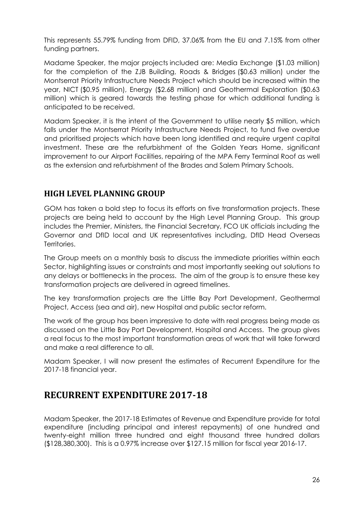This represents 55.79% funding from DFID, 37.06% from the EU and 7.15% from other funding partners.

Madame Speaker, the major projects included are: Media Exchange (\$1.03 million) for the completion of the ZJB Building, Roads & Bridges (\$0.63 million) under the Montserrat Priority Infrastructure Needs Project which should be increased within the year, NICT (\$0.95 million), Energy (\$2.68 million) and Geothermal Exploration (\$0.63 million) which is geared towards the testing phase for which additional funding is anticipated to be received.

Madam Speaker, it is the intent of the Government to utilise nearly \$5 million, which falls under the Montserrat Priority Infrastructure Needs Project, to fund five overdue and prioritised projects which have been long identified and require urgent capital investment. These are the refurbishment of the Golden Years Home, significant improvement to our Airport Facilities, repairing of the MPA Ferry Terminal Roof as well as the extension and refurbishment of the Brades and Salem Primary Schools.

## **HIGH LEVEL PLANNING GROUP**

GOM has taken a bold step to focus its efforts on five transformation projects. These projects are being held to account by the High Level Planning Group. This group includes the Premier, Ministers, the Financial Secretary, FCO UK officials including the Governor and DfID local and UK representatives including, DfID Head Overseas Territories.

The Group meets on a monthly basis to discuss the immediate priorities within each Sector, highlighting issues or constraints and most importantly seeking out solutions to any delays or bottlenecks in the process. The aim of the group is to ensure these key transformation projects are delivered in agreed timelines.

The key transformation projects are the Little Bay Port Development, Geothermal Project, Access (sea and air), new Hospital and public sector reform.

The work of the group has been impressive to date with real progress being made as discussed on the Little Bay Port Development, Hospital and Access. The group gives a real focus to the most important transformation areas of work that will take forward and make a real difference to all.

Madam Speaker, I will now present the estimates of Recurrent Expenditure for the 2017-18 financial year.

# **RECURRENT EXPENDITURE 2017-18**

Madam Speaker, the 2017-18 Estimates of Revenue and Expenditure provide for total expenditure (including principal and interest repayments) of one hundred and twenty-eight million three hundred and eight thousand three hundred dollars (\$128,380,300). This is a 0.97% increase over \$127.15 million for fiscal year 2016-17.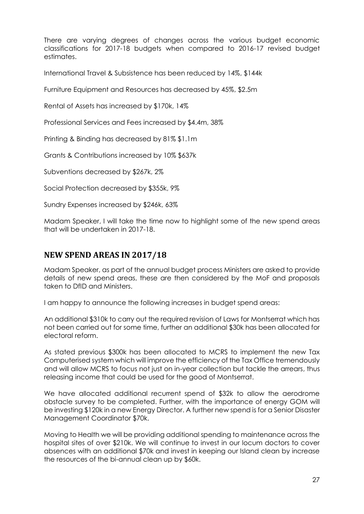There are varying degrees of changes across the various budget economic classifications for 2017-18 budgets when compared to 2016-17 revised budget estimates.

International Travel & Subsistence has been reduced by 14%, \$144k

Furniture Equipment and Resources has decreased by 45%, \$2.5m

Rental of Assets has increased by \$170k, 14%

Professional Services and Fees increased by \$4.4m, 38%

Printing & Binding has decreased by 81% \$1.1m

Grants & Contributions increased by 10% \$637k

Subventions decreased by \$267k, 2%

Social Protection decreased by \$355k, 9%

Sundry Expenses increased by \$246k, 63%

Madam Speaker, I will take the time now to highlight some of the new spend areas that will be undertaken in 2017-18.

## **NEW SPEND AREAS IN 2017/18**

Madam Speaker, as part of the annual budget process Ministers are asked to provide details of new spend areas, these are then considered by the MoF and proposals taken to DfID and Ministers.

I am happy to announce the following increases in budget spend areas:

An additional \$310k to carry out the required revision of Laws for Montserrat which has not been carried out for some time, further an additional \$30k has been allocated for electoral reform.

As stated previous \$300k has been allocated to MCRS to implement the new Tax Computerised system which will improve the efficiency of the Tax Office tremendously and will allow MCRS to focus not just on in-year collection but tackle the arrears, thus releasing income that could be used for the good of Montserrat.

We have allocated additional recurrent spend of \$32k to allow the aerodrome obstacle survey to be completed. Further, with the importance of energy GOM will be investing \$120k in a new Energy Director. A further new spend is for a Senior Disaster Management Coordinator \$70k.

Moving to Health we will be providing additional spending to maintenance across the hospital sites of over \$210k. We will continue to invest in our locum doctors to cover absences with an additional \$70k and invest in keeping our Island clean by increase the resources of the bi-annual clean up by \$60k.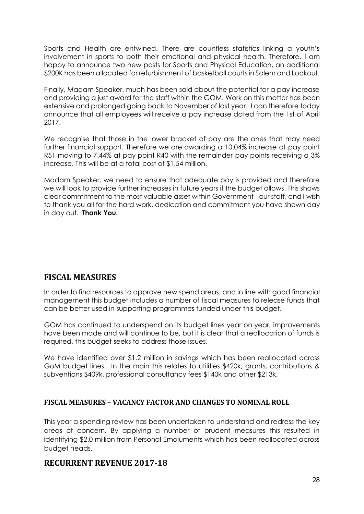Sports and Health are entwined. There are countless statistics linking a youth's involvement in sports to both their emotional and physical health. Therefore, I am happy to announce two new posts for Sports and Physical Education, an additional \$200K has been allocated for refurbishment of basketball courts in Salem and Lookout.

Finally, Madam Speaker, much has been said about the potential for a pay increase and providing a just award for the staff within the GOM. Work on this matter has been extensive and prolonged going back to November of last year. I can therefore today announce that all employees will receive a pay increase dated from the 1st of April 2017.

We recognise that those in the lower bracket of pay are the ones that may need further financial support. Therefore we are awarding a 10.04% increase at pay point R51 moving to 7.44% at pay point R40 with the remainder pay points receiving a 3% increase. This will be at a total cost of \$1.54 million.

Madam Speaker, we need to ensure that adequate pay is provided and therefore we will look to provide further increases in future years if the budget allows. This shows clear commitment to the most valuable asset within Government - our staff, and I wish to thank you all for the hard work, dedication and commitment you have shown day in day out. **Thank You.**

# **FISCAL MEASURES**

In order to find resources to approve new spend areas, and in line with good financial management this budget includes a number of fiscal measures to release funds that can be better used in supporting programmes funded under this budget.

GOM has continued to underspend on its budget lines year on year, improvements have been made and will continue to be, but it is clear that a reallocation of funds is required, this budget seeks to address those issues.

We have identified over \$1.2 million in savings which has been reallocated across GoM budget lines. In the main this relates to utilities \$420k, grants, contributions & subventions \$409k, professional consultancy fees \$140k and other \$213k.

## **FISCAL MEASURES – VACANCY FACTOR AND CHANGES TO NOMINAL ROLL**

This year a spending review has been undertaken to understand and redress the key areas of concern. By applying a number of prudent measures this resulted in identifying \$2.0 million from Personal Emoluments which has been reallocated across budget heads.

## **RECURRENT REVENUE 2017-18**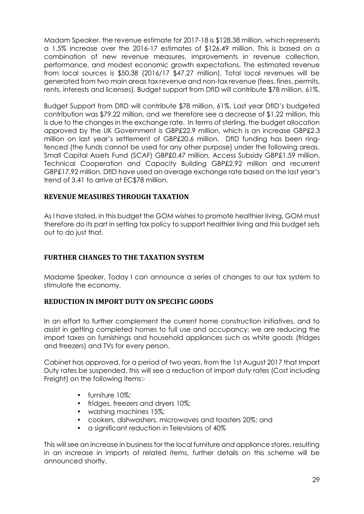Madam Speaker, the revenue estimate for 2017-18 is \$128.38 million, which represents a 1.5% increase over the 2016-17 estimates of \$126.49 million. This is based on a combination of new revenue measures, improvements in revenue collection, performance, and modest economic growth expectations. The estimated revenue from local sources is \$50.38 (2016/17 \$47.27 million). Total local revenues will be generated from two main areas tax revenue and non-tax revenue (fees, fines, permits, rents, interests and licenses). Budget support from DfID will contribute \$78 million, 61%.

Budget Support from DfID will contribute \$78 million, 61%. Last year DfID's budgeted contribution was \$79.22 million, and we therefore see a decrease of \$1.22 million, this is due to the changes in the exchange rate. In terms of sterling, the budget allocation approved by the UK Government is GBP£22.9 million, which is an increase GBP£2.3 million on last year's settlement of GBP£20.6 million. DfID funding has been ringfenced (the funds cannot be used for any other purpose) under the following areas. Small Capital Assets Fund (SCAF) GBP£0.47 million, Access Subsidy GBP£1.59 million, Technical Cooperation and Capacity Building GBP£2.92 million and recurrent GBP£17.92 million. DfID have used an average exchange rate based on the last year's trend of 3.41 to arrive at EC\$78 million.

#### **REVENUE MEASURES THROUGH TAXATION**

As I have stated, in this budget the GOM wishes to promote healthier living, GOM must therefore do its part in setting tax policy to support healthier living and this budget sets out to do just that.

#### **FURTHER CHANGES TO THE TAXATION SYSTEM**

Madame Speaker, Today I can announce a series of changes to our tax system to stimulate the economy.

#### **REDUCTION IN IMPORT DUTY ON SPECIFIC GOODS**

In an effort to further complement the current home construction initiatives, and to assist in getting completed homes to full use and occupancy; we are reducing the import taxes on furnishings and household appliances such as white goods (fridges and freezers) and TVs for every person.

Cabinet has approved, for a period of two years, from the 1st August 2017 that Import Duty rates be suspended, this will see a reduction of import duty rates (Cost including Freight) on the following items:-

- furniture 10%;
- fridges, freezers and dryers 10%;
- washing machines 15%;
- cookers, dishwashers, microwaves and toasters 20%; and
- a significant reduction in Televisions of 40%

This will see an increase in business for the local furniture and appliance stores, resulting in an increase in imports of related items, further details on this scheme will be announced shortly.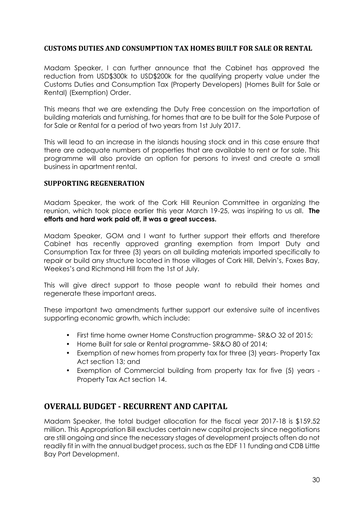#### **CUSTOMS DUTIES AND CONSUMPTION TAX HOMES BUILT FOR SALE OR RENTAL**

Madam Speaker, I can further announce that the Cabinet has approved the reduction from USD\$300k to USD\$200k for the qualifying property value under the Customs Duties and Consumption Tax (Property Developers) (Homes Built for Sale or Rental) (Exemption) Order.

This means that we are extending the Duty Free concession on the importation of building materials and furnishing, for homes that are to be built for the Sole Purpose of for Sale or Rental for a period of two years from 1st July 2017.

This will lead to an increase in the islands housing stock and in this case ensure that there are adequate numbers of properties that are available to rent or for sale. This programme will also provide an option for persons to invest and create a small business in apartment rental.

#### **SUPPORTING REGENERATION**

Madam Speaker, the work of the Cork Hill Reunion Committee in organizing the reunion, which took place earlier this year March 19-25, was inspiring to us all. **The efforts and hard work paid off, it was a great success.**

Madam Speaker, GOM and I want to further support their efforts and therefore Cabinet has recently approved granting exemption from Import Duty and Consumption Tax for three (3) years on all building materials imported specifically to repair or build any structure located in those villages of Cork Hill, Delvin's, Foxes Bay, Weekes's and Richmond Hill from the 1st of July.

This will give direct support to those people want to rebuild their homes and regenerate these important areas.

These important two amendments further support our extensive suite of incentives supporting economic growth, which include:

- First time home owner Home Construction programme- SR&O 32 of 2015;
- Home Built for sale or Rental programme- SR&O 80 of 2014;
- Exemption of new homes from property tax for three (3) years- Property Tax Act section 13; and
- Exemption of Commercial building from property tax for five (5) years Property Tax Act section 14.

## **OVERALL BUDGET - RECURRENT AND CAPITAL**

Madam Speaker, the total budget allocation for the fiscal year 2017-18 is \$159.52 million. This Appropriation Bill excludes certain new capital projects since negotiations are still ongoing and since the necessary stages of development projects often do not readily fit in with the annual budget process, such as the EDF 11 funding and CDB Little Bay Port Development.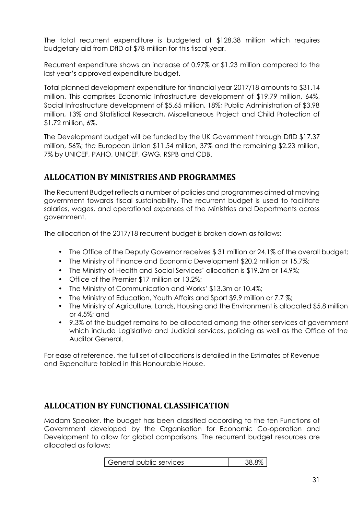The total recurrent expenditure is budgeted at \$128.38 million which requires budgetary aid from DfID of \$78 million for this fiscal year.

Recurrent expenditure shows an increase of 0.97% or \$1.23 million compared to the last year's approved expenditure budget.

Total planned development expenditure for financial year 2017/18 amounts to \$31.14 million. This comprises Economic Infrastructure development of \$19.79 million, 64%, Social Infrastructure development of \$5.65 million, 18%; Public Administration of \$3.98 million, 13% and Statistical Research, Miscellaneous Project and Child Protection of \$1.72 million, 6%.

The Development budget will be funded by the UK Government through DfID \$17.37 million, 56%; the European Union \$11.54 million, 37% and the remaining \$2.23 million, 7% by UNICEF, PAHO, UNICEF, GWG, RSPB and CDB.

# **ALLOCATION BY MINISTRIES AND PROGRAMMES**

The Recurrent Budget reflects a number of policies and programmes aimed at moving government towards fiscal sustainability. The recurrent budget is used to facilitate salaries, wages, and operational expenses of the Ministries and Departments across government.

The allocation of the 2017/18 recurrent budget is broken down as follows:

- The Office of the Deputy Governor receives \$31 million or 24.1% of the overall budget;
- The Ministry of Finance and Economic Development \$20.2 million or 15.7%;
- The Ministry of Health and Social Services' allocation is \$19.2m or 14.9%;
- Office of the Premier \$17 million or 13.2%;
- The Ministry of Communication and Works' \$13.3m or 10.4%;
- The Ministry of Education, Youth Affairs and Sport \$9.9 million or 7.7 %;
- The Ministry of Agriculture, Lands, Housing and the Environment is allocated \$5.8 million or 4.5%; and
- 9.3% of the budget remains to be allocated among the other services of government which include Legislative and Judicial services, policing as well as the Office of the Auditor General.

For ease of reference, the full set of allocations is detailed in the Estimates of Revenue and Expenditure tabled in this Honourable House.

# **ALLOCATION BY FUNCTIONAL CLASSIFICATION**

Madam Speaker, the budget has been classified according to the ten Functions of Government developed by the Organisation for Economic Co-operation and Development to allow for global comparisons. The recurrent budget resources are allocated as follows:

| General public services | 38.8% |
|-------------------------|-------|
|-------------------------|-------|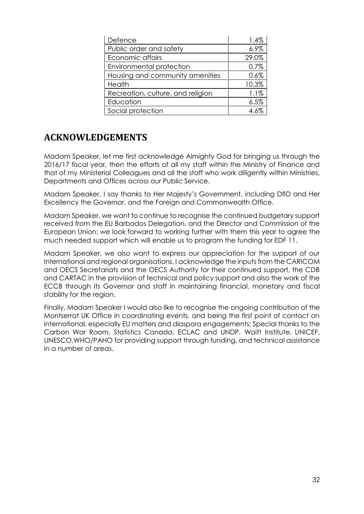| Defence                           | 1.4%  |
|-----------------------------------|-------|
| Public order and safety           | 6.9%  |
| Economic affairs                  | 29.0% |
| Environmental protection          | 0.7%  |
| Housing and community amenities   | 0.6%  |
| Health                            | 10.3% |
| Recreation, culture, and religion | 1.1%  |
| Education                         | 6.5%  |
| Social protection                 | 4.6%  |

# **ACKNOWLEDGEMENTS**

Madam Speaker, let me first acknowledge Almighty God for bringing us through the 2016/17 fiscal year, then the efforts of all my staff within the Ministry of Finance and that of my Ministerial Colleagues and all the staff who work diligently within Ministries, Departments and Offices across our Public Service.

Madam Speaker, I say thanks to Her Majesty's Government, including DfID and Her Excellency the Governor, and the Foreign and Commonwealth Office.

Madam Speaker, we want to continue to recognise the continued budgetary support received from the EU Barbados Delegation, and the Director and Commission of the European Union; we look forward to working further with them this year to agree the much needed support which will enable us to program the funding for EDF 11.

Madam Speaker, we also want to express our appreciation for the support of our International and regional organisations. I acknowledge the inputs from the CARICOM and OECS Secretariats and the OECS Authority for their continued support, the CDB and CARTAC in the provision of technical and policy support and also the work of the ECCB through its Governor and staff in maintaining financial, monetary and fiscal stability for the region.

Finally, Madam Speaker I would also like to recognise the ongoing contribution of the Montserrat UK Office in coordinating events, and being the first point of contact on international, especially EU matters and diaspora engagements; Special thanks to the Carbon War Room, Statistics Canada, ECLAC and UNDP, Waitt Institute, UNICEF, UNESCO,WHO/PAHO for providing support through funding, and technical assistance in a number of areas.